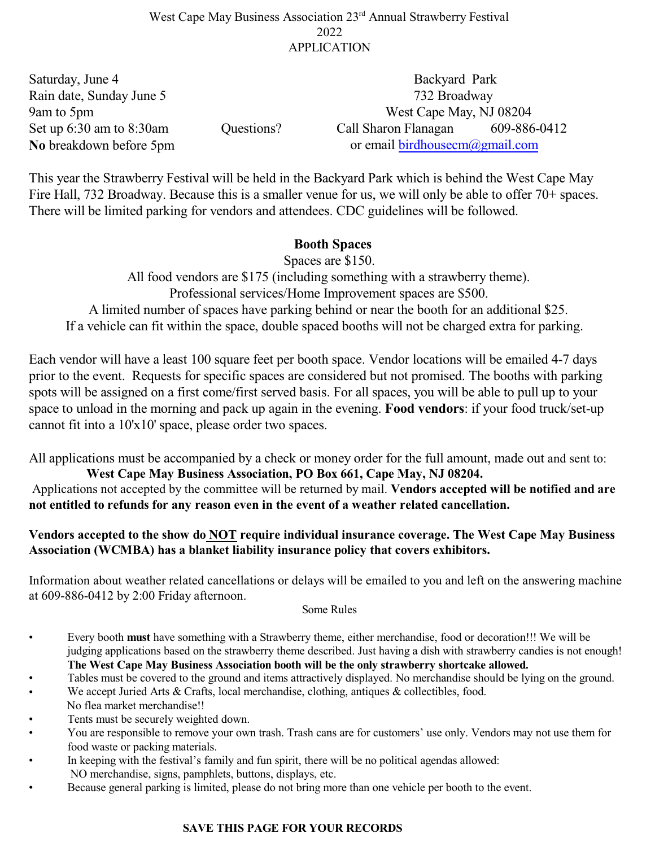## West Cape May Business Association 23<sup>rd</sup> Annual Strawberry Festival 2022 APPLICATION

| Saturday, June 4              |            | Backyard Park                        |              |  |
|-------------------------------|------------|--------------------------------------|--------------|--|
| Rain date, Sunday June 5      |            | 732 Broadway                         |              |  |
| 9am to 5pm                    |            | West Cape May, NJ 08204              |              |  |
| Set up $6:30$ am to $8:30$ am | Questions? | Call Sharon Flanagan                 | 609-886-0412 |  |
| No breakdown before 5pm       |            | or email birdhousecm $(a)$ gmail.com |              |  |

This year the Strawberry Festival will be held in the Backyard Park which is behind the West Cape May Fire Hall, 732 Broadway. Because this is a smaller venue for us, we will only be able to offer 70+ spaces. There will be limited parking for vendors and attendees. CDC guidelines will be followed.

## **Booth Spaces**

Spaces are \$150. All food vendors are \$175 (including something with a strawberry theme). Professional services/Home Improvement spaces are \$500. A limited number of spaces have parking behind or near the booth for an additional \$25. If a vehicle can fit within the space, double spaced booths will not be charged extra for parking.

Each vendor will have a least 100 square feet per booth space. Vendor locations will be emailed 4-7 days prior to the event. Requests for specific spaces are considered but not promised. The booths with parking spots will be assigned on a first come/first served basis. For all spaces, you will be able to pull up to your space to unload in the morning and pack up again in the evening. **Food vendors**: if your food truck/set-up cannot fit into a 10'x10' space, please order two spaces.

All applications must be accompanied by a check or money order for the full amount, made out and sent to:  **West Cape May Business Association, PO Box 661, Cape May, NJ 08204.** 

Applications not accepted by the committee will be returned by mail. **Vendors accepted will be notified and are not entitled to refunds for any reason even in the event of a weather related cancellation.**

## **Vendors accepted to the show do NOT require individual insurance coverage. The West Cape May Business Association (WCMBA) has a blanket liability insurance policy that covers exhibitors.**

Information about weather related cancellations or delays will be emailed to you and left on the answering machine at 609-886-0412 by 2:00 Friday afternoon.

#### Some Rules

- Every booth **must** have something with a Strawberry theme, either merchandise, food or decoration!!! We will be judging applications based on the strawberry theme described. Just having a dish with strawberry candies is not enough! **The West Cape May Business Association booth will be the only strawberry shortcake allowed.**
- Tables must be covered to the ground and items attractively displayed. No merchandise should be lying on the ground.
- We accept Juried Arts  $&$  Crafts, local merchandise, clothing, antiques  $&$  collectibles, food. No flea market merchandise!!
- Tents must be securely weighted down.
- You are responsible to remove your own trash. Trash cans are for customers' use only. Vendors may not use them for food waste or packing materials.
- In keeping with the festival's family and fun spirit, there will be no political agendas allowed: NO merchandise, signs, pamphlets, buttons, displays, etc.
- Because general parking is limited, please do not bring more than one vehicle per booth to the event.

#### **SAVE THIS PAGE FOR YOUR RECORDS**